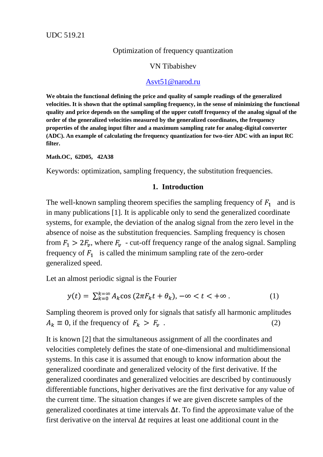# Optimization of frequency quantization

### VN Tibabishev

## [Asvt51@narod.ru](mailto:Asvt51@narod.ru)

**We obtain the functional defining the price and quality of sample readings of the generalized velocities. It is shown that the optimal sampling frequency, in the sense of minimizing the functional quality and price depends on the sampling of the upper cutoff frequency of the analog signal of the order of the generalized velocities measured by the generalized coordinates, the frequency properties of the analog input filter and a maximum sampling rate for analog-digital converter (ADC). An example of calculating the frequency quantization for two-tier ADC with an input RC filter.**

**Math.OC, 62D05, 42A38**

Keywords: optimization, sampling frequency, the substitution frequencies.

#### **1. Introduction**

The well-known sampling theorem specifies the sampling frequency of  $F_1$  and is in many publications [1]. It is applicable only to send the generalized coordinate systems, for example, the deviation of the analog signal from the zero level in the absence of noise as the substitution frequencies. Sampling frequency is chosen from  $F_1 > 2F_v$ , where  $F_v$  - cut-off frequency range of the analog signal. Sampling frequency of  $F_1$  is called the minimum sampling rate of the zero-order generalized speed.

Let an almost periodic signal is the Fourier

$$
y(t) = \sum_{k=0}^{k=\infty} A_k \cos(2\pi F_k t + \theta_k), -\infty < t < +\infty.
$$
 (1)

Sampling theorem is proved only for signals that satisfy all harmonic amplitudes  $A_k \equiv 0$ , if the frequency of  $F_k > F_v$ . (2)

It is known [2] that the simultaneous assignment of all the coordinates and velocities completely defines the state of one-dimensional and multidimensional systems. In this case it is assumed that enough to know information about the generalized coordinate and generalized velocity of the first derivative. If the generalized coordinates and generalized velocities are described by continuously differentiable functions, higher derivatives are the first derivative for any value of the current time. The situation changes if we are given discrete samples of the generalized coordinates at time intervals  $\Delta t$ . To find the approximate value of the first derivative on the interval  $\Delta t$  requires at least one additional count in the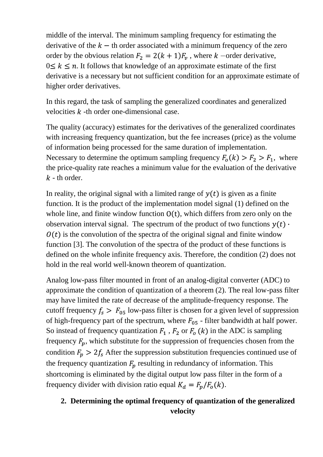middle of the interval. The minimum sampling frequency for estimating the derivative of the  $k - th$  order associated with a minimum frequency of the zero order by the obvious relation  $F_2 = 2(k + 1)F_\nu$ , where k –order derivative,  $0 \leq k \leq n$ . It follows that knowledge of an approximate estimate of the first derivative is a necessary but not sufficient condition for an approximate estimate of higher order derivatives.

In this regard, the task of sampling the generalized coordinates and generalized velocities  $k$  -th order one-dimensional case.

The quality (accuracy) estimates for the derivatives of the generalized coordinates with increasing frequency quantization, but the fee increases (price) as the volume of information being processed for the same duration of implementation. Necessary to determine the optimum sampling frequency  $F_0(k) > F_2 > F_1$ , where the price-quality rate reaches a minimum value for the evaluation of the derivative  $k$  - th order.

In reality, the original signal with a limited range of  $y(t)$  is given as a finite function. It is the product of the implementation model signal (1) defined on the whole line, and finite window function  $O(t)$ , which differs from zero only on the observation interval signal. The spectrum of the product of two functions  $y(t)$ .  $\theta(t)$  is the convolution of the spectra of the original signal and finite window function [3]. The convolution of the spectra of the product of these functions is defined on the whole infinite frequency axis. Therefore, the condition (2) does not hold in the real world well-known theorem of quantization.

Analog low-pass filter mounted in front of an analog-digital converter (ADC) to approximate the condition of quantization of a theorem (2). The real low-pass filter may have limited the rate of decrease of the amplitude-frequency response. The cutoff frequency  $f_s > F_{05}$  low-pass filter is chosen for a given level of suppression of high-frequency part of the spectrum, where  $F_{05}$  - filter bandwidth at half power. So instead of frequency quantization  $F_1$ ,  $F_2$  or  $F_0$  (k) in the ADC is sampling frequency  $F_p$ , which substitute for the suppression of frequencies chosen from the condition  $F_p > 2f_s$  After the suppression substitution frequencies continued use of the frequency quantization  $F_p$  resulting in redundancy of information. This shortcoming is eliminated by the digital output low pass filter in the form of a frequency divider with division ratio equal  $K_d = F_p/F_o(k)$ .

# **2. Determining the optimal frequency of quantization of the generalized velocity**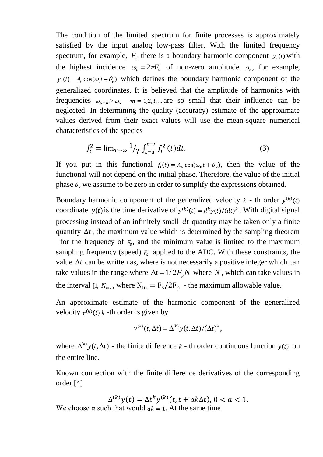The condition of the limited spectrum for finite processes is approximately satisfied by the input analog low-pass filter. With the limited frequency spectrum, for example,  $F_v$  there is a boundary harmonic component  $y_v(t)$  with the highest incidence  $\omega_r = 2\pi F_r$  of non-zero amplitude  $A_r$ , for example,  $y_y(t) = A_y \cos(\omega_y t + \theta_y)$  which defines the boundary harmonic component of the generalized coordinates. It is believed that the amplitude of harmonics with frequencies  $\omega_{v+m} > \omega_v$   $m = 1,2,3,...$  are so small that their influence can be neglected. In determining the quality (accuracy) estimate of the approximate values derived from their exact values will use the mean-square numerical characteristics of the species

$$
J_i^2 = \lim_{T \to \infty} \frac{1}{T} \int_{t=0}^{t=T} f_i^2(t) dt.
$$
 (3)

If you put in this functional  $f_i(t) = A_v \cos(\omega_v t + \theta_v)$ , then the value of the functional will not depend on the initial phase. Therefore, the value of the initial phase  $\theta_{\nu}$  we assume to be zero in order to simplify the expressions obtained.

Boundary harmonic component of the generalized velocity  $k$  - th order  $y^{(k)}(t)$ coordinate  $y(t)$  is the time derivative of  $y^{(k)}(t) = d^k y(t)/(dt)^k$ . With digital signal processing instead of an infinitely small *dt* quantity may be taken only a finite quantity  $\Delta t$ , the maximum value which is determined by the sampling theorem

for the frequency of  $F_p$ , and the minimum value is limited to the maximum sampling frequency (speed)  $F_s$  applied to the ADC. With these constraints, the value  $\Delta t$  can be written as, where is not necessarily a positive integer which can take values in the range where  $\Delta t = 1/2F_p N$  where N, which can take values in the interval [1,  $N_m$ ], where  $N_m = F_s / 2F_p$  - the maximum allowable value.

An approximate estimate of the harmonic component of the generalized velocity  $v^{(k)}(t)$  k -th order is given by

$$
v^{(k)}(t,\Delta t) = \Delta^{(k)} y(t,\Delta t) / (\Delta t)^k,
$$

where  $\Delta^{(k)} y(t, \Delta t)$  - the finite difference k - th order continuous function  $y(t)$  on the entire line.

Known connection with the finite difference derivatives of the corresponding order [4]

$$
\Delta^{(k)}y(t) = \Delta t^k y^{(k)}(t, t + ak\Delta t), 0 < a < 1.
$$

We choose  $\alpha$  such that would  $\alpha k = 1$ . At the same time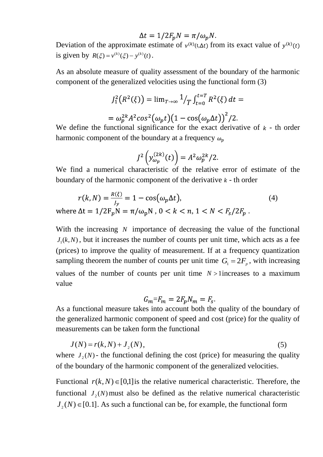$$
\Delta t = 1/2F_p N = \pi/\omega_p N.
$$

Deviation of the approximate estimate of  $v^{(k)}(t, \Delta t)$  from its exact value of  $y^{(k)}(t)$ is given by  $R(\xi) = v^{(k)}(\xi) - y^{(k)}(t)$ .

As an absolute measure of quality assessment of the boundary of the harmonic component of the generalized velocities using the functional form (3)

$$
J_1^2(R^2(\xi)) = \lim_{T \to \infty} \frac{1}{T} \int_{t=0}^{t=T} R^2(\xi) dt =
$$
  
=  $\omega_p^{2k} A^2 \cos^2(\omega_p t) (1 - \cos(\omega_p \Delta t))^2 / 2.$ 

We define the functional significance for the exact derivative of  $k - th$  order harmonic component of the boundary at a frequency  $\omega_n$ 

$$
J^2\left(y_{\omega_p}^{(2k)}(t)\right) = A^2 \omega_p^{2k} / 2.
$$

We find a numerical characteristic of the relative error of estimate of the boundary of the harmonic component of the derivative  $k$  - th order

$$
r(k, N) = \frac{R(\xi)}{J_y} = 1 - \cos(\omega_p \Delta t),
$$
  
\n
$$
\Delta t = 1/2F \ N = \pi/\omega \ N \ 0 < k < n \ 1 < N < F / 2F
$$
 (4)

where  $\Delta t = 1/2F_p N = \pi/\omega_p N$ ,  $0 < k < n$ ,  $1 < N < F_s/2F_p$ .

With the increasing N importance of decreasing the value of the functional  $J_1(k, N)$ , but it increases the number of counts per unit time, which acts as a fee (prices) to improve the quality of measurement. If at a frequency quantization sampling theorem the number of counts per unit time  $G_1 = 2F_p$ , with increasing values of the number of counts per unit time  $N > 1$  increases to a maximum value

$$
G_m = F_m = 2F_p N_m = F_s.
$$

As a functional measure takes into account both the quality of the boundary of the generalized harmonic component of speed and cost (price) for the quality of measurements can be taken form the functional

$$
J(N) = r(k, N) + J_2(N),
$$
\n(5)

where  $J_2(N)$ - the functional defining the cost (price) for measuring the quality of the boundary of the harmonic component of the generalized velocities.

Functional  $r(k, N) \in [0,1]$  is the relative numerical characteristic. Therefore, the functional  $J_2(N)$  must also be defined as the relative numerical characteristic  $J_2(N) \in [0.1]$ . As such a functional can be, for example, the functional form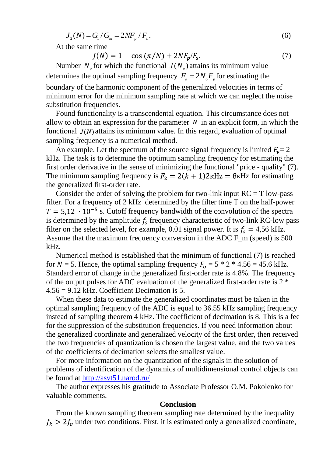$$
J_2(N) = G_1 / G_m = 2N F_p / F_s. \tag{6}
$$

At the same time

$$
J(N) = 1 - \cos(\pi/N) + 2NF_p/F_s.
$$
 (7)

Number  $N_{\rho}$  for which the functional  $J(N_{\rho})$  attains its minimum value determines the optimal sampling frequency  $F_o = 2N_oF_p$  for estimating the boundary of the harmonic component of the generalized velocities in terms of minimum error for the minimum sampling rate at which we can neglect the noise substitution frequencies.

Found functionality is a transcendental equation. This circumstance does not allow to obtain an expression for the parameter  $N$  in an explicit form, in which the functional  $J(N)$  attains its minimum value. In this regard, evaluation of optimal sampling frequency is a numerical method.

An example. Let the spectrum of the source signal frequency is limited  $F_v = 2$ kHz. The task is to determine the optimum sampling frequency for estimating the first order derivative in the sense of minimizing the functional "price - quality" (7). The minimum sampling frequency is  $F_2 = 2(k + 1)2k$ Hz = 8kHz for estimating the generalized first-order rate.

Consider the order of solving the problem for two-link input  $RC = T$  low-pass filter. For a frequency of 2 kHz determined by the filter time T on the half-power  $T = 5.12 \cdot 10^{-5}$  s. Cutoff frequency bandwidth of the convolution of the spectra is determined by the amplitude  $f_s$  frequency characteristic of two-link RC-low pass filter on the selected level, for example, 0.01 signal power. It is  $f_s = 4,56$  kHz. Assume that the maximum frequency conversion in the ADC F\_m (speed) is 500 kHz.

Numerical method is established that the minimum of functional (7) is reached for  $N = 5$ . Hence, the optimal sampling frequency  $F_0 = 5 * 2 * 4.56 = 45.6$  kHz. Standard error of change in the generalized first-order rate is 4.8%. The frequency of the output pulses for ADC evaluation of the generalized first-order rate is 2 \* 4.56 = 9.12 kHz. Coefficient Decimation is 5.

When these data to estimate the generalized coordinates must be taken in the optimal sampling frequency of the ADC is equal to 36.55 kHz sampling frequency instead of sampling theorem 4 kHz. The coefficient of decimation is 8. This is a fee for the suppression of the substitution frequencies. If you need information about the generalized coordinate and generalized velocity of the first order, then received the two frequencies of quantization is chosen the largest value, and the two values of the coefficients of decimation selects the smallest value.

For more information on the quantization of the signals in the solution of problems of identification of the dynamics of multidimensional control objects can be found at<http://asvt51.narod.ru/>

The author expresses his gratitude to Associate Professor O.M. Pokolenko for valuable comments.

#### **Conclusion**

From the known sampling theorem sampling rate determined by the inequality  $f_k > 2f_v$  under two conditions. First, it is estimated only a generalized coordinate,